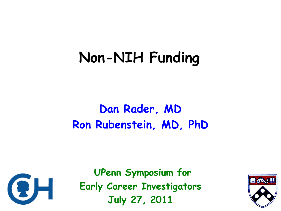## **Non-NIH Funding**

### **Dan Rader, MD Ron Rubenstein, MD, PhD**



**UPenn Symposium for Early Career Investigators July 27, 2011**

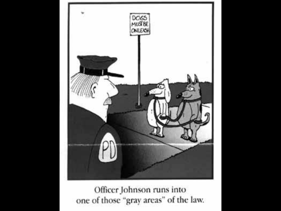

Officer Johnson runs into one of those "gray areas" of the law.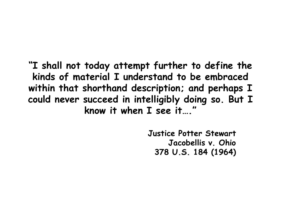**"I shall not today attempt further to define the kinds of material I understand to be embraced within that shorthand description; and perhaps I could never succeed in intelligibly doing so. But I know it when I see it…."**

> **Justice Potter Stewart Jacobellis v. Ohio 378 U.S. 184 (1964)**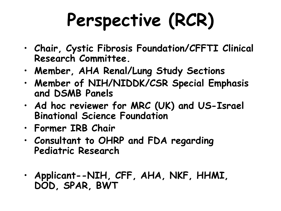# **Perspective (RCR)**

- **Chair, Cystic Fibrosis Foundation/CFFTI Clinical Research Committee.**
- **Member, AHA Renal/Lung Study Sections**
- **Member of NIH/NIDDK/CSR Special Emphasis and DSMB Panels**
- **Ad hoc reviewer for MRC (UK) and US-Israel Binational Science Foundation**
- **Former IRB Chair**
- **Consultant to OHRP and FDA regarding Pediatric Research**
- **Applicant--NIH, CFF, AHA, NKF, HHMI, DOD, SPAR, BWT**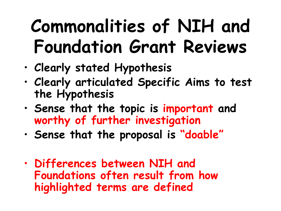# **Commonalities of NIH and Foundation Grant Reviews**

- **Clearly stated Hypothesis**
- **Clearly articulated Specific Aims to test the Hypothesis**
- **Sense that the topic is important and worthy of further investigation**
- **Sense that the proposal is "doable"**
- **Differences between NIH and Foundations often result from how highlighted terms are defined**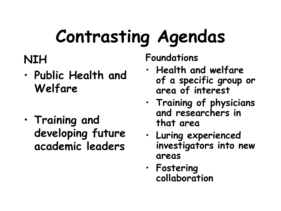# **Contrasting Agendas**

### **NIH**

- **Public Health and Welfare**
- **Training and developing future academic leaders**

**Foundations**

- **Health and welfare of a specific group or area of interest**
- **Training of physicians and researchers in that area**
- **Luring experienced investigators into new areas**
- **Fostering collaboration**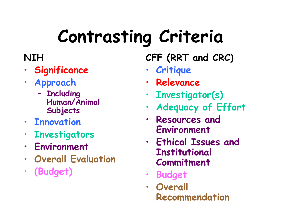# **Contrasting Criteria**

### **NIH**

- **Significance**
- **Approach**
	- **Including Human/Animal Subjects**
- **Innovation**
- **Investigators**
- **Environment**
- **Overall Evaluation**
- **(Budget)**

**CFF (RRT and CRC)**

- **Critique**
- **Relevance**
- **Investigator(s)**
- **Adequacy of Effort**
- **Resources and Environment**
- **Ethical Issues and Institutional Commitment**
- **Budget**
- **Overall Recommendation**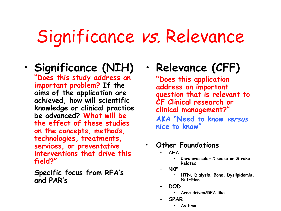## Significance vs. Relevance

### • **Significance (NIH)**

**"Does this study address an important problem? If the aims of the application are achieved, how will scientific knowledge or clinical practice be advanced? What will be the effect of these studies on the concepts, methods, technologies, treatments, services, or preventative interventions that drive this field?"**

**Specific focus from RFA's and PAR's**

• **Relevance (CFF)**

**"Does this application address an important question that is relevant to CF Clinical research or clinical management?" AKA "Need to know versus nice to know"**

- **Other Foundations**
	- **AHA**
		- **Cardiovascular Disease or Stroke Related**
	- **NKF**
		- **HTN, Dialysis, Bone, Dyslipidemia, Nutrition**
	- **DOD**
		- **Area driven/RFA like**
	- **SPAR**
		- **Asthma**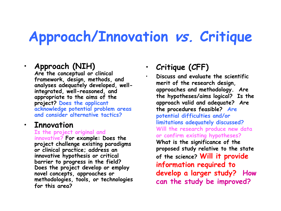## **Approach/Innovation vs. Critique**

#### • **Approach (NIH)**

**Are the conceptual or clinical framework, design, methods, and analyses adequately developed, wellintegrated, well-reasoned, and appropriate to the aims of the project? Does the applicant acknowledge potential problem areas and consider alternative tactics?**

#### • **Innovation**

**Is the project original and innovative? For example: Does the project challenge existing paradigms or clinical practice; address an innovative hypothesis or critical barrier to progress in the field? Does the project develop or employ novel concepts, approaches or methodologies, tools, or technologies for this area?**

#### • **Critique (CFF)**

• **Discuss and evaluate the scientific merit of the research design, approaches and methodology. Are the hypotheses/aims logical? Is the approach valid and adequate? Are the procedures feasible? Are potential difficulties and/or limitations adequately discussed? Will the research produce new data or confirm existing hypotheses? What is the significance of the proposed study relative to the state of the science? Will it provide information required to develop a larger study? How can the study be improved?**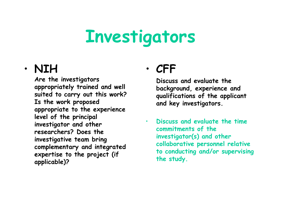## **Investigators**

#### • **NIH**

**Are the investigators appropriately trained and well suited to carry out this work? Is the work proposed appropriate to the experience level of the principal investigator and other researchers? Does the investigative team bring complementary and integrated expertise to the project (if applicable)?** 

### • **CFF**

**Discuss and evaluate the background, experience and qualifications of the applicant and key investigators.**

• **Discuss and evaluate the time commitments of the investigator(s) and other collaborative personnel relative to conducting and/or supervising the study.**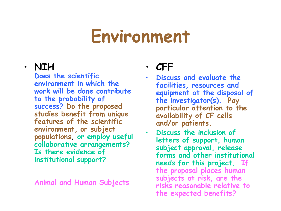## **Environment**

#### • **NIH**

**Does the scientific environment in which the work will be done contribute to the probability of success? Do the proposed studies benefit from unique features of the scientific environment, or subject populations, or employ useful collaborative arrangements? Is there evidence of institutional support?** 

**Animal and Human Subjects**

#### • **CFF**

- **Discuss and evaluate the facilities, resources and equipment at the disposal of the investigator(s). Pay particular attention to the availability of CF cells and/or patients.**
- **Discuss the inclusion of letters of support, human subject approval, release forms and other institutional needs for this project. If the proposal places human subjects at risk, are the risks reasonable relative to the expected benefits?**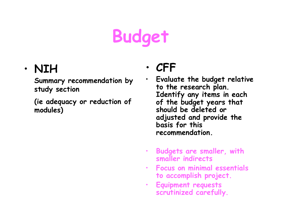# **Budget**

### • **NIH**

**Summary recommendation by study section** 

**(ie adequacy or reduction of modules)**

### • **CFF**

- **Evaluate the budget relative to the research plan. Identify any items in each of the budget years that should be deleted or adjusted and provide the basis for this recommendation.**
- **Budgets are smaller, with smaller indirects**
- **Focus on minimal essentials to accomplish project.**
- **Equipment requests scrutinized carefully.**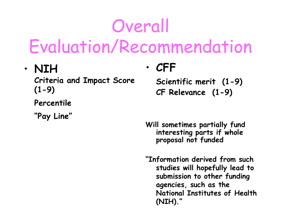# Overall Evaluation/Recommendation

• **NIH**

**Criteria and Impact Score (1-9)**

**Percentile** 

**"Pay Line"**

### • **CFF**

**Scientific merit (1-9) CF Relevance (1-9)**

**Will sometimes partially fund interesting parts if whole proposal not funded**

**"Information derived from such studies will hopefully lead to submission to other funding agencies, such as the National Institutes of Health (NIH)."**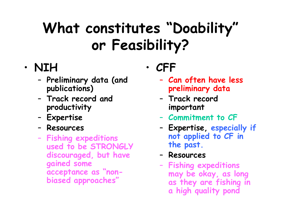## **What constitutes "Doability" or Feasibility?**

### • **NIH**

- **Preliminary data (and publications)**
- **Track record and productivity**
- **Expertise**
- **Resources**
- **Fishing expeditions used to be STRONGLY discouraged, but have gained some acceptance as "nonbiased approaches"**

• **CFF**

- **Can often have less preliminary data**
- **Track record important**
- **Commitment to CF**
- **Expertise, especially if not applied to CF in the past.**
- **Resources**
- **Fishing expeditions may be okay, as long as they are fishing in a high quality pond**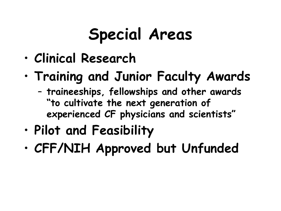## **Special Areas**

- **Clinical Research**
- **Training and Junior Faculty Awards**
	- **traineeships, fellowships and other awards "to cultivate the next generation of experienced CF physicians and scientists"**
- **Pilot and Feasibility**
- **CFF/NIH Approved but Unfunded**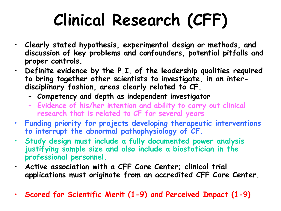## **Clinical Research (CFF)**

- **Clearly stated hypothesis, experimental design or methods, and discussion of key problems and confounders, potential pitfalls and proper controls.** 
	- **Definite evidence by the P.I. of the leadership qualities required to bring together other scientists to investigate, in an interdisciplinary fashion, areas clearly related to CF.**
		- **Competency and depth as independent investigator**
		- **Evidence of his/her intention and ability to carry out clinical research that is related to CF for several years**
- **Funding priority for projects developing therapeutic interventions to interrupt the abnormal pathophysiology of CF.**
- **Study design must include a fully documented power analysis justifying sample size and also include a biostatician in the professional personnel.**
- **Active association with a CFF Care Center; clinical trial applications must originate from an accredited CFF Care Center.**
- **Scored for Scientific Merit (1-9) and Perceived Impact (1-9)**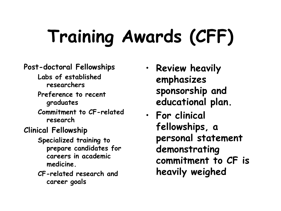# **Training Awards (CFF)**

#### **Post-doctoral Fellowships**

- **Labs of established researchers**
- **Preference to recent graduates**
- **Commitment to CF-related research**
- **Clinical Fellowship**
	- **Specialized training to prepare candidates for careers in academic medicine.**
	- **CF-related research and career goals**
- **Review heavily emphasizes sponsorship and educational plan.**
- **For clinical fellowships, a personal statement demonstrating commitment to CF is heavily weighed**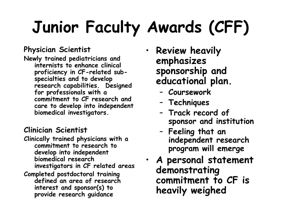# **Junior Faculty Awards (CFF)**

#### **Physician Scientist**

**Newly trained pediatricians and internists to enhance clinical proficiency in CF-related subspecialties and to develop research capabilities. Designed for professionals with a commitment to CF research and care to develop into independent biomedical investigators.** 

#### **Clinician Scientist**

- **Clinically trained physicians with a commitment to research to develop into independent biomedical research investigators in CF related areas**
- **Completed postdoctoral training defined an area of research interest and sponsor(s) to provide research guidance**
- **Review heavily emphasizes sponsorship and educational plan.**
	- **Coursework**
	- **Techniques**
	- **Track record of sponsor and institution**
	- **Feeling that an independent research program will emerge**
- **A personal statement demonstrating commitment to CF is heavily weighed**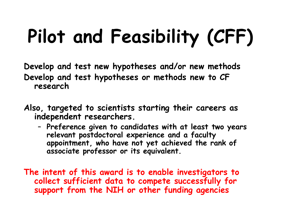# **Pilot and Feasibility (CFF)**

**Develop and test new hypotheses and/or new methods Develop and test hypotheses or methods new to CF research**

- **Also, targeted to scientists starting their careers as independent researchers.** 
	- **Preference given to candidates with at least two years relevant postdoctoral experience and a faculty appointment, who have not yet achieved the rank of associate professor or its equivalent.**

**The intent of this award is to enable investigators to collect sufficient data to compete successfully for support from the NIH or other funding agencies**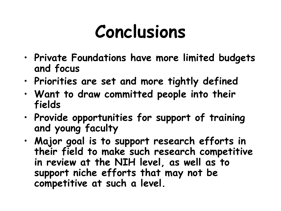## **Conclusions**

- **Private Foundations have more limited budgets and focus**
- **Priorities are set and more tightly defined**
- **Want to draw committed people into their fields**
- **Provide opportunities for support of training and young faculty**
- **Major goal is to support research efforts in their field to make such research competitive in review at the NIH level, as well as to support niche efforts that may not be competitive at such a level.**